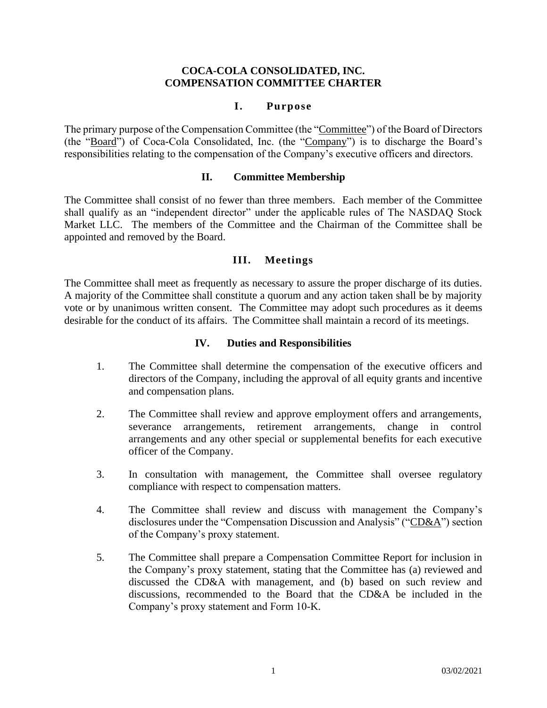## **COCA-COLA CONSOLIDATED, INC. COMPENSATION COMMITTEE CHARTER**

## **I. Purpose**

The primary purpose of the Compensation Committee (the "Committee") of the Board of Directors (the "Board") of Coca-Cola Consolidated, Inc. (the "Company") is to discharge the Board's responsibilities relating to the compensation of the Company's executive officers and directors.

## **II. Committee Membership**

The Committee shall consist of no fewer than three members. Each member of the Committee shall qualify as an "independent director" under the applicable rules of The NASDAQ Stock Market LLC. The members of the Committee and the Chairman of the Committee shall be appointed and removed by the Board.

# **III. Meetings**

The Committee shall meet as frequently as necessary to assure the proper discharge of its duties. A majority of the Committee shall constitute a quorum and any action taken shall be by majority vote or by unanimous written consent. The Committee may adopt such procedures as it deems desirable for the conduct of its affairs. The Committee shall maintain a record of its meetings.

#### **IV. Duties and Responsibilities**

- 1. The Committee shall determine the compensation of the executive officers and directors of the Company, including the approval of all equity grants and incentive and compensation plans.
- 2. The Committee shall review and approve employment offers and arrangements, severance arrangements, retirement arrangements, change in control arrangements and any other special or supplemental benefits for each executive officer of the Company.
- 3. In consultation with management, the Committee shall oversee regulatory compliance with respect to compensation matters.
- 4. The Committee shall review and discuss with management the Company's disclosures under the "Compensation Discussion and Analysis" ("CD&A") section of the Company's proxy statement.
- 5. The Committee shall prepare a Compensation Committee Report for inclusion in the Company's proxy statement, stating that the Committee has (a) reviewed and discussed the CD&A with management, and (b) based on such review and discussions, recommended to the Board that the CD&A be included in the Company's proxy statement and Form 10-K.